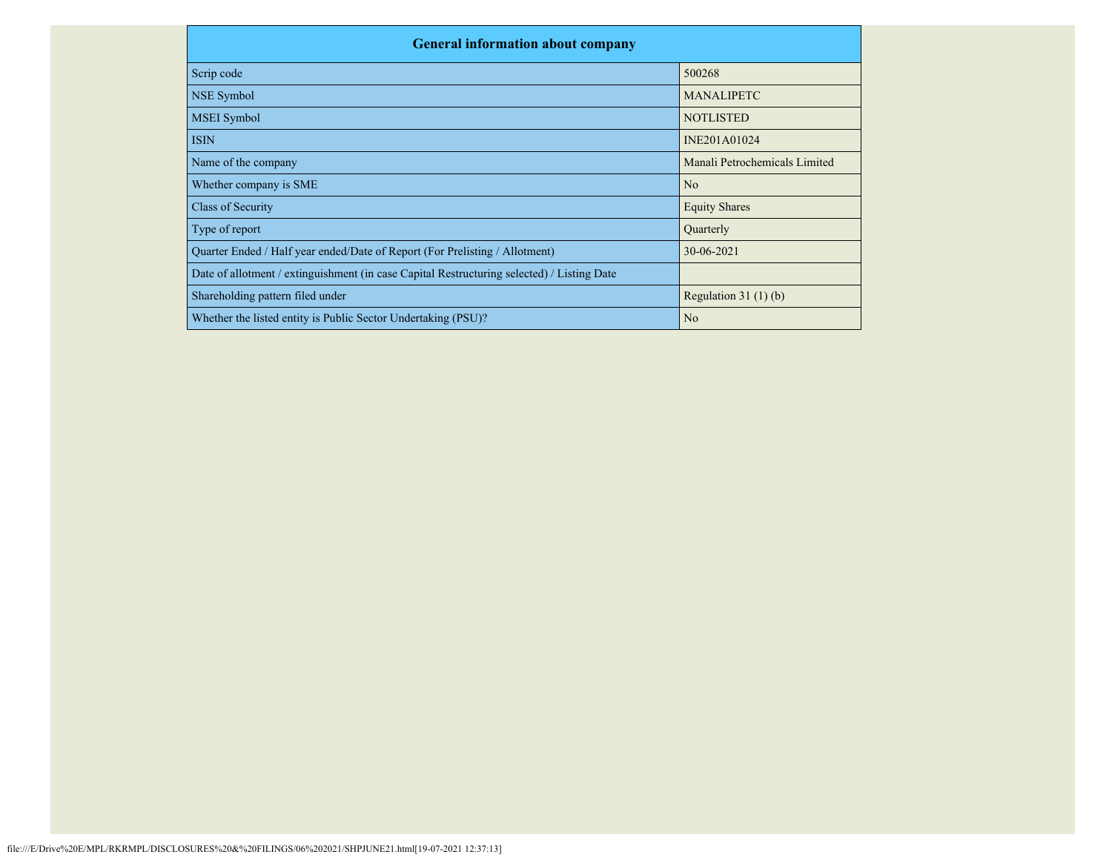| <b>General information about company</b>                                                   |                               |
|--------------------------------------------------------------------------------------------|-------------------------------|
| Scrip code                                                                                 | 500268                        |
| NSE Symbol                                                                                 | <b>MANALIPETC</b>             |
| <b>MSEI</b> Symbol                                                                         | <b>NOTLISTED</b>              |
| <b>ISIN</b>                                                                                | INE201A01024                  |
| Name of the company                                                                        | Manali Petrochemicals Limited |
| Whether company is SME                                                                     | N <sub>o</sub>                |
| Class of Security                                                                          | <b>Equity Shares</b>          |
| Type of report                                                                             | Quarterly                     |
| Quarter Ended / Half year ended/Date of Report (For Prelisting / Allotment)                | 30-06-2021                    |
| Date of allotment / extinguishment (in case Capital Restructuring selected) / Listing Date |                               |
| Shareholding pattern filed under                                                           | Regulation $31(1)(b)$         |
| Whether the listed entity is Public Sector Undertaking (PSU)?                              | N <sub>o</sub>                |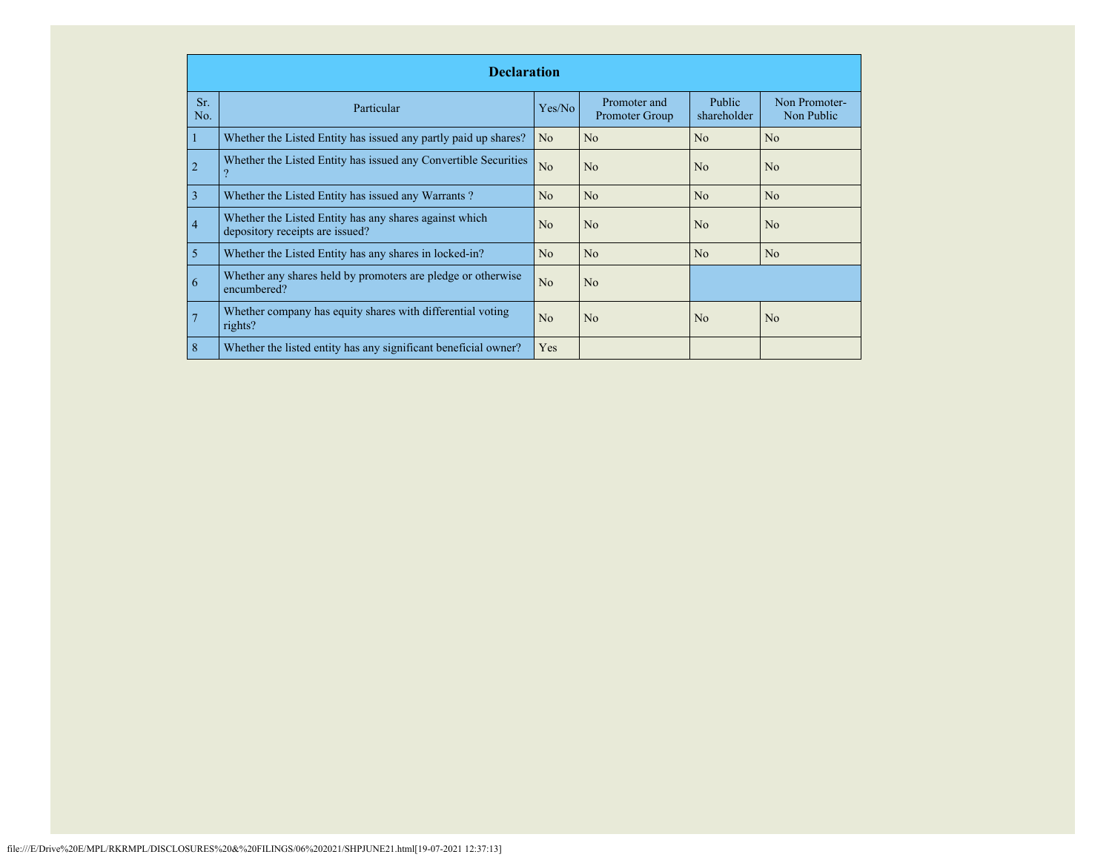|            | <b>Declaration</b>                                                                        |                |                                |                              |                             |  |  |  |  |  |
|------------|-------------------------------------------------------------------------------------------|----------------|--------------------------------|------------------------------|-----------------------------|--|--|--|--|--|
| Sr.<br>No. | Particular                                                                                | Yes/No         | Promoter and<br>Promoter Group | <b>Public</b><br>shareholder | Non Promoter-<br>Non Public |  |  |  |  |  |
|            | Whether the Listed Entity has issued any partly paid up shares?                           | N <sub>o</sub> | No                             | No                           | N <sub>o</sub>              |  |  |  |  |  |
|            | Whether the Listed Entity has issued any Convertible Securities                           | No             | N <sub>o</sub>                 | No                           | N <sub>o</sub>              |  |  |  |  |  |
| 3          | Whether the Listed Entity has issued any Warrants?                                        | N <sub>o</sub> | N <sub>o</sub>                 | No                           | N <sub>o</sub>              |  |  |  |  |  |
| 4          | Whether the Listed Entity has any shares against which<br>depository receipts are issued? | N <sub>o</sub> | N <sub>o</sub>                 | No                           | N <sub>o</sub>              |  |  |  |  |  |
| 5          | Whether the Listed Entity has any shares in locked-in?                                    | No             | No                             | No                           | N <sub>0</sub>              |  |  |  |  |  |
| 6          | Whether any shares held by promoters are pledge or otherwise<br>encumbered?               | No             | N <sub>o</sub>                 |                              |                             |  |  |  |  |  |
|            | Whether company has equity shares with differential voting<br>rights?                     | N <sub>o</sub> | N <sub>o</sub>                 | No                           | N <sub>o</sub>              |  |  |  |  |  |
| 8          | Whether the listed entity has any significant beneficial owner?                           | Yes            |                                |                              |                             |  |  |  |  |  |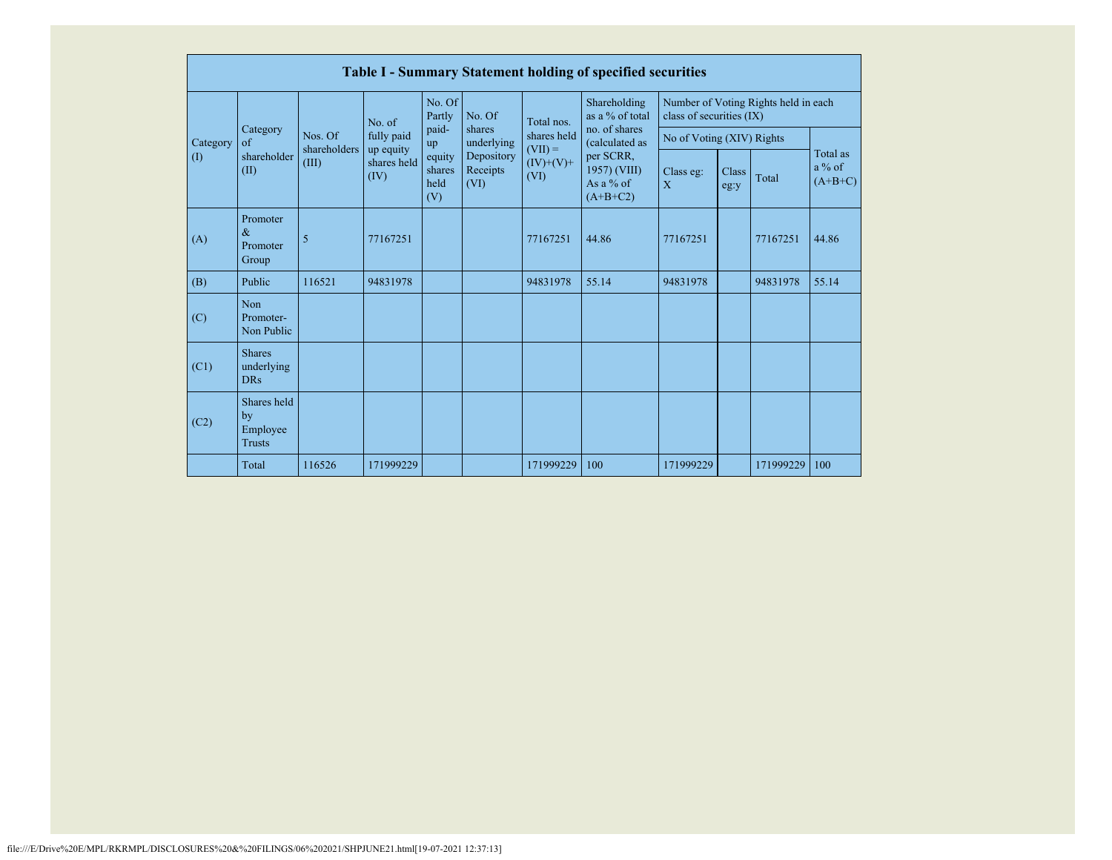|          | Table I - Summary Statement holding of specified securities |                                                       |             |                                 |                                |                                  |                                                        |                                                                  |               |           |                                   |  |  |
|----------|-------------------------------------------------------------|-------------------------------------------------------|-------------|---------------------------------|--------------------------------|----------------------------------|--------------------------------------------------------|------------------------------------------------------------------|---------------|-----------|-----------------------------------|--|--|
|          | Category<br>of<br>shareholder<br>(II)                       | No. of                                                |             | No. Of<br>Partly                | No. Of                         | Total nos.                       | Shareholding<br>as a % of total                        | Number of Voting Rights held in each<br>class of securities (IX) |               |           |                                   |  |  |
| Category |                                                             | Nos. Of<br>shareholders<br>up equity<br>(III)<br>(IV) | fully paid  | paid-<br>up                     | shares<br>underlying           | shares held                      | no. of shares<br>(calculated as                        | No of Voting (XIV) Rights                                        |               |           |                                   |  |  |
| (1)      |                                                             |                                                       | shares held | equity<br>shares<br>held<br>(V) | Depository<br>Receipts<br>(VI) | $(VII) =$<br>$(IV)+(V)+$<br>(VI) | per SCRR,<br>1957) (VIII)<br>As a $%$ of<br>$(A+B+C2)$ | Class eg:<br>$\overline{X}$                                      | Class<br>eg:y | Total     | Total as<br>$a\%$ of<br>$(A+B+C)$ |  |  |
| (A)      | Promoter<br>$\&$<br>Promoter<br>Group                       | 5                                                     | 77167251    |                                 |                                | 77167251                         | 44.86                                                  | 77167251                                                         |               | 77167251  | 44.86                             |  |  |
| (B)      | Public                                                      | 116521                                                | 94831978    |                                 |                                | 94831978                         | 55.14                                                  | 94831978                                                         |               | 94831978  | 55.14                             |  |  |
| (C)      | Non<br>Promoter-<br>Non Public                              |                                                       |             |                                 |                                |                                  |                                                        |                                                                  |               |           |                                   |  |  |
| (C1)     | <b>Shares</b><br>underlying<br><b>DRs</b>                   |                                                       |             |                                 |                                |                                  |                                                        |                                                                  |               |           |                                   |  |  |
| (C2)     | Shares held<br>by<br>Employee<br><b>Trusts</b>              |                                                       |             |                                 |                                |                                  |                                                        |                                                                  |               |           |                                   |  |  |
|          | Total                                                       | 116526                                                | 171999229   |                                 |                                | 171999229                        | 100                                                    | 171999229                                                        |               | 171999229 | 100                               |  |  |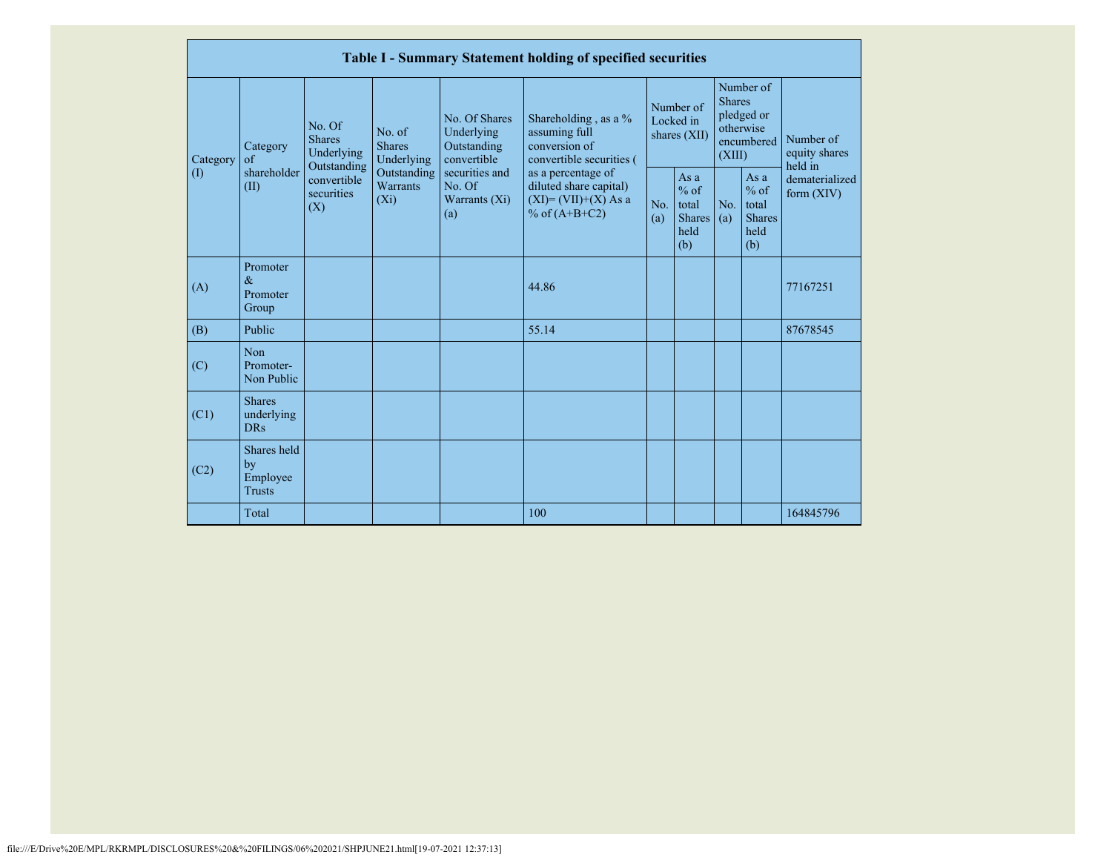|           |                                                |                                                 |                                       |                                                           | Table I - Summary Statement holding of specified securities                                |                                        |                                                           |                                                                               |                                                         |                                       |
|-----------|------------------------------------------------|-------------------------------------------------|---------------------------------------|-----------------------------------------------------------|--------------------------------------------------------------------------------------------|----------------------------------------|-----------------------------------------------------------|-------------------------------------------------------------------------------|---------------------------------------------------------|---------------------------------------|
| Category  | Category<br>of                                 | No. Of<br><b>Shares</b><br>Underlying           | No. of<br><b>Shares</b><br>Underlying | No. Of Shares<br>Underlying<br>Outstanding<br>convertible | Shareholding, as a %<br>assuming full<br>conversion of<br>convertible securities (         | Number of<br>Locked in<br>shares (XII) |                                                           | Number of<br><b>Shares</b><br>pledged or<br>otherwise<br>encumbered<br>(XIII) |                                                         | Number of<br>equity shares<br>held in |
| $\rm (I)$ | shareholder<br>(II)                            | Outstanding<br>convertible<br>securities<br>(X) | Outstanding<br>Warrants<br>$(X_i)$    | securities and<br>No. Of<br>Warrants $(X_i)$<br>(a)       | as a percentage of<br>diluted share capital)<br>$(XI) = (VII)+(X) As a$<br>% of $(A+B+C2)$ | No.<br>(a)                             | As $a$<br>$%$ of<br>total<br><b>Shares</b><br>held<br>(b) | No.<br>(a)                                                                    | As a<br>$%$ of<br>total<br><b>Shares</b><br>held<br>(b) | dematerialized<br>form $(XIV)$        |
| (A)       | Promoter<br>$\&$<br>Promoter<br>Group          |                                                 |                                       |                                                           | 44.86                                                                                      |                                        |                                                           |                                                                               |                                                         | 77167251                              |
| (B)       | Public                                         |                                                 |                                       |                                                           | 55.14                                                                                      |                                        |                                                           |                                                                               |                                                         | 87678545                              |
| (C)       | Non<br>Promoter-<br>Non Public                 |                                                 |                                       |                                                           |                                                                                            |                                        |                                                           |                                                                               |                                                         |                                       |
| (C1)      | <b>Shares</b><br>underlying<br><b>DRs</b>      |                                                 |                                       |                                                           |                                                                                            |                                        |                                                           |                                                                               |                                                         |                                       |
| (C2)      | Shares held<br>by<br>Employee<br><b>Trusts</b> |                                                 |                                       |                                                           |                                                                                            |                                        |                                                           |                                                                               |                                                         |                                       |
|           | Total                                          |                                                 |                                       |                                                           | 100                                                                                        |                                        |                                                           |                                                                               |                                                         | 164845796                             |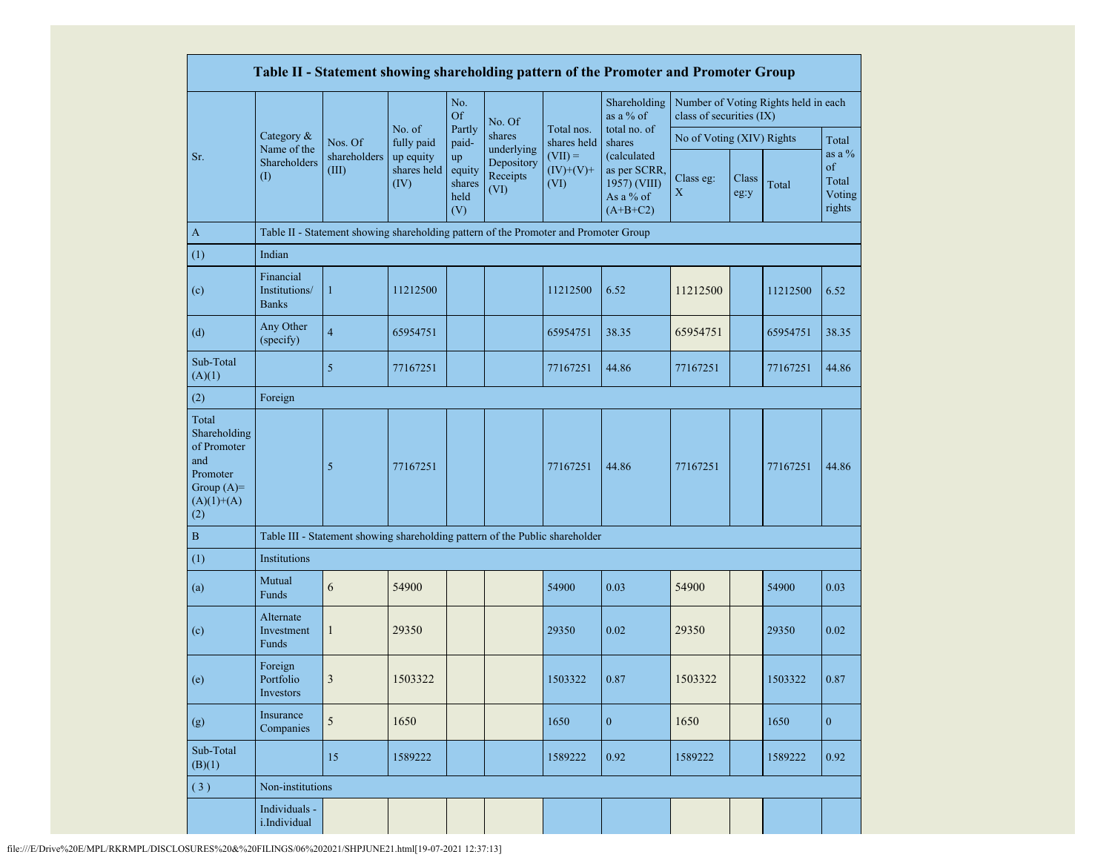|                                                                                                |                                            |                                                                                      |                                                          |                                       |                                |                                  | Table II - Statement showing shareholding pattern of the Promoter and Promoter Group |                           |               |                                      |                                              |
|------------------------------------------------------------------------------------------------|--------------------------------------------|--------------------------------------------------------------------------------------|----------------------------------------------------------|---------------------------------------|--------------------------------|----------------------------------|--------------------------------------------------------------------------------------|---------------------------|---------------|--------------------------------------|----------------------------------------------|
|                                                                                                |                                            |                                                                                      |                                                          | No.<br><b>Of</b>                      | No. Of                         |                                  | Shareholding<br>as a % of                                                            | class of securities (IX)  |               | Number of Voting Rights held in each |                                              |
|                                                                                                | Category &<br>Name of the                  | Nos. Of                                                                              | No. of<br>fully paid<br>up equity<br>shares held<br>(IV) | Partly<br>paid-                       | shares<br>underlying           | Total nos.<br>shares held        | total no. of<br>shares                                                               | No of Voting (XIV) Rights |               |                                      | Total                                        |
| Sr.                                                                                            | Shareholders<br>(1)                        | shareholders<br>(III)                                                                |                                                          | up<br>equity<br>shares<br>held<br>(V) | Depository<br>Receipts<br>(VI) | $(VII) =$<br>$(IV)+(V)+$<br>(VI) | (calculated<br>as per SCRR,<br>1957) (VIII)<br>As a % of<br>$(A+B+C2)$               | Class eg:<br>$\mathbf X$  | Class<br>eg:y | Total                                | as a $\%$<br>of<br>Total<br>Voting<br>rights |
| $\mathbf{A}$                                                                                   |                                            | Table II - Statement showing shareholding pattern of the Promoter and Promoter Group |                                                          |                                       |                                |                                  |                                                                                      |                           |               |                                      |                                              |
| (1)                                                                                            | Indian                                     |                                                                                      |                                                          |                                       |                                |                                  |                                                                                      |                           |               |                                      |                                              |
| (c)                                                                                            | Financial<br>Institutions/<br><b>Banks</b> | $\mathbf{1}$                                                                         | 11212500                                                 |                                       |                                | 11212500                         | 6.52                                                                                 | 11212500                  |               | 11212500                             | 6.52                                         |
| (d)                                                                                            | Any Other<br>(specify)                     | $\overline{4}$                                                                       | 65954751                                                 |                                       |                                | 65954751                         | 38.35                                                                                | 65954751                  |               | 65954751                             | 38.35                                        |
| Sub-Total<br>(A)(1)                                                                            |                                            | 5                                                                                    | 77167251                                                 |                                       |                                | 77167251                         | 44.86                                                                                | 77167251                  |               | 77167251                             | 44.86                                        |
| (2)                                                                                            | Foreign                                    |                                                                                      |                                                          |                                       |                                |                                  |                                                                                      |                           |               |                                      |                                              |
| Total<br>Shareholding<br>of Promoter<br>and<br>Promoter<br>Group $(A)=$<br>$(A)(1)+(A)$<br>(2) |                                            | 5                                                                                    | 77167251                                                 |                                       |                                | 77167251                         | 44.86                                                                                | 77167251                  |               | 77167251                             | 44.86                                        |
| $\mathbf B$                                                                                    |                                            | Table III - Statement showing shareholding pattern of the Public shareholder         |                                                          |                                       |                                |                                  |                                                                                      |                           |               |                                      |                                              |
| (1)                                                                                            | Institutions                               |                                                                                      |                                                          |                                       |                                |                                  |                                                                                      |                           |               |                                      |                                              |
| (a)                                                                                            | Mutual<br>Funds                            | 6                                                                                    | 54900                                                    |                                       |                                | 54900                            | 0.03                                                                                 | 54900                     |               | 54900                                | 0.03                                         |
| (c)                                                                                            | Alternate<br>Investment<br>Funds           | $\mathbf{1}$                                                                         | 29350                                                    |                                       |                                | 29350                            | 0.02                                                                                 | 29350                     |               | 29350                                | 0.02                                         |
| (e)                                                                                            | Foreign<br>Portfolio<br>Investors          | 3                                                                                    | 1503322                                                  |                                       |                                | 1503322                          | 0.87                                                                                 | 1503322                   |               | 1503322                              | 0.87                                         |
| (g)                                                                                            | Insurance<br>Companies                     | $\sqrt{5}$                                                                           | 1650                                                     |                                       |                                | 1650                             | $\mathbf{0}$                                                                         | 1650                      |               | 1650                                 | $\overline{0}$                               |
| Sub-Total<br>(B)(1)                                                                            |                                            | 15                                                                                   | 1589222                                                  |                                       |                                | 1589222                          | 0.92                                                                                 | 1589222                   |               | 1589222                              | 0.92                                         |
| (3)                                                                                            | Non-institutions                           |                                                                                      |                                                          |                                       |                                |                                  |                                                                                      |                           |               |                                      |                                              |
|                                                                                                | Individuals -<br>i.Individual              |                                                                                      |                                                          |                                       |                                |                                  |                                                                                      |                           |               |                                      |                                              |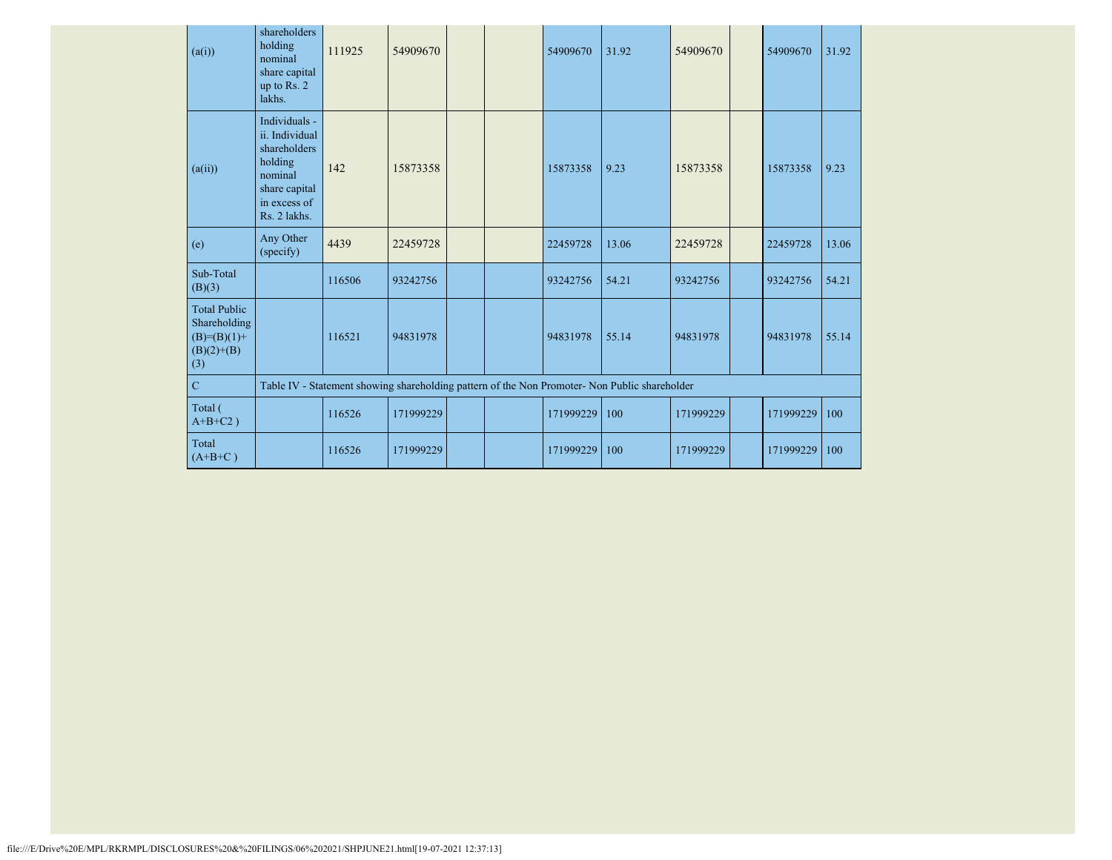| (a(i))                                                                      | shareholders<br>holding<br>nominal<br>share capital<br>up to Rs. 2<br>lakhs.                                           | 111925                                                                                        | 54909670  |  |  | 54909670  | 31.92 | 54909670  |  | 54909670  | 31.92 |
|-----------------------------------------------------------------------------|------------------------------------------------------------------------------------------------------------------------|-----------------------------------------------------------------------------------------------|-----------|--|--|-----------|-------|-----------|--|-----------|-------|
| (a(ii))                                                                     | Individuals -<br>ii. Individual<br>shareholders<br>holding<br>nominal<br>share capital<br>in excess of<br>Rs. 2 lakhs. | 142                                                                                           | 15873358  |  |  | 15873358  | 9.23  | 15873358  |  | 15873358  | 9.23  |
| (e)                                                                         | Any Other<br>(specify)                                                                                                 | 4439                                                                                          | 22459728  |  |  | 22459728  | 13.06 | 22459728  |  | 22459728  | 13.06 |
| Sub-Total<br>(B)(3)                                                         |                                                                                                                        | 116506                                                                                        | 93242756  |  |  | 93242756  | 54.21 | 93242756  |  | 93242756  | 54.21 |
| <b>Total Public</b><br>Shareholding<br>$(B)=(B)(1)+$<br>$(B)(2)+(B)$<br>(3) |                                                                                                                        | 116521                                                                                        | 94831978  |  |  | 94831978  | 55.14 | 94831978  |  | 94831978  | 55.14 |
| $\mathbf C$                                                                 |                                                                                                                        | Table IV - Statement showing shareholding pattern of the Non Promoter- Non Public shareholder |           |  |  |           |       |           |  |           |       |
| Total (<br>$A+B+C2$ )                                                       |                                                                                                                        | 116526                                                                                        | 171999229 |  |  | 171999229 | 100   | 171999229 |  | 171999229 | 100   |
| Total<br>$(A+B+C)$                                                          |                                                                                                                        | 116526                                                                                        | 171999229 |  |  | 171999229 | 100   | 171999229 |  | 171999229 | 100   |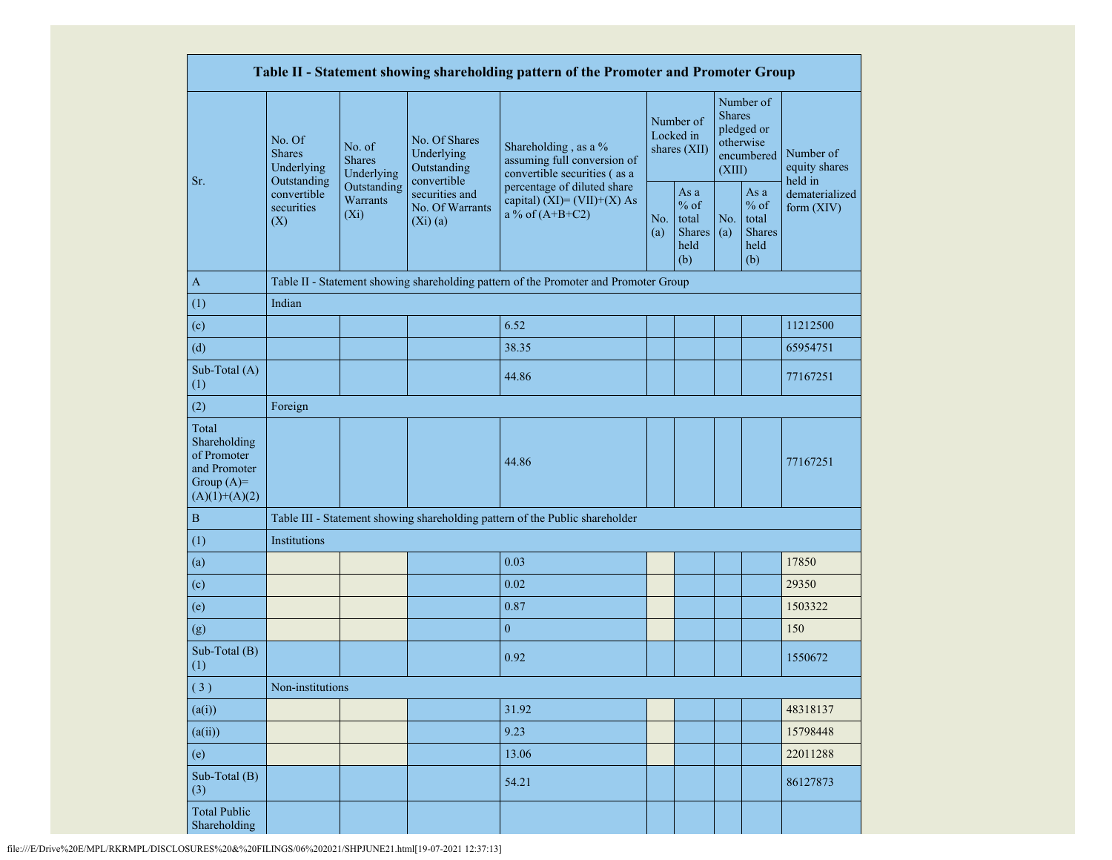|                                                                                         |                                                                                                                                            |             |                                                                | Table II - Statement showing shareholding pattern of the Promoter and Promoter Group |  |                                                         |                         |                                                         |                                       |  |
|-----------------------------------------------------------------------------------------|--------------------------------------------------------------------------------------------------------------------------------------------|-------------|----------------------------------------------------------------|--------------------------------------------------------------------------------------|--|---------------------------------------------------------|-------------------------|---------------------------------------------------------|---------------------------------------|--|
|                                                                                         | No. Of<br>No. of<br><b>Shares</b><br><b>Shares</b><br>Underlying<br>Outstanding<br>convertible<br>Warrants<br>securities<br>$(X_i)$<br>(X) | Underlying  | No. Of Shares<br>Underlying<br>Outstanding                     | Shareholding, as a %<br>assuming full conversion of<br>convertible securities (as a  |  | Number of<br>Locked in<br>shares (XII)                  | <b>Shares</b><br>(XIII) | Number of<br>pledged or<br>otherwise<br>encumbered      | Number of<br>equity shares<br>held in |  |
| Sr.                                                                                     |                                                                                                                                            | Outstanding | convertible<br>securities and<br>No. Of Warrants<br>$(Xi)$ (a) | percentage of diluted share<br>capital) $(XI) = (VII)+(X) As$<br>a % of $(A+B+C2)$   |  | As a<br>$%$ of<br>total<br><b>Shares</b><br>held<br>(b) | No.<br>(a)              | As a<br>$%$ of<br>total<br><b>Shares</b><br>held<br>(b) | dematerialized<br>form (XIV)          |  |
| $\mathbf{A}$                                                                            |                                                                                                                                            |             |                                                                | Table II - Statement showing shareholding pattern of the Promoter and Promoter Group |  |                                                         |                         |                                                         |                                       |  |
| (1)                                                                                     | Indian                                                                                                                                     |             |                                                                |                                                                                      |  |                                                         |                         |                                                         |                                       |  |
| (c)                                                                                     |                                                                                                                                            |             |                                                                | 6.52                                                                                 |  |                                                         |                         |                                                         | 11212500                              |  |
| (d)                                                                                     |                                                                                                                                            |             |                                                                | 38.35                                                                                |  |                                                         |                         |                                                         | 65954751                              |  |
| Sub-Total (A)<br>(1)                                                                    |                                                                                                                                            |             |                                                                | 44.86                                                                                |  |                                                         |                         |                                                         | 77167251                              |  |
| (2)                                                                                     | Foreign                                                                                                                                    |             |                                                                |                                                                                      |  |                                                         |                         |                                                         |                                       |  |
| Total<br>Shareholding<br>of Promoter<br>and Promoter<br>Group $(A)=$<br>$(A)(1)+(A)(2)$ |                                                                                                                                            |             |                                                                | 44.86                                                                                |  |                                                         |                         |                                                         | 77167251                              |  |
| $\mathbf{B}$                                                                            |                                                                                                                                            |             |                                                                | Table III - Statement showing shareholding pattern of the Public shareholder         |  |                                                         |                         |                                                         |                                       |  |
| (1)                                                                                     | Institutions                                                                                                                               |             |                                                                |                                                                                      |  |                                                         |                         |                                                         |                                       |  |
| (a)                                                                                     |                                                                                                                                            |             |                                                                | 0.03                                                                                 |  |                                                         |                         |                                                         | 17850                                 |  |
| (c)                                                                                     |                                                                                                                                            |             |                                                                | 0.02                                                                                 |  |                                                         |                         |                                                         | 29350                                 |  |
| (e)                                                                                     |                                                                                                                                            |             |                                                                | 0.87                                                                                 |  |                                                         |                         |                                                         | 1503322                               |  |
| (g)                                                                                     |                                                                                                                                            |             |                                                                | $\boldsymbol{0}$                                                                     |  |                                                         |                         |                                                         | 150                                   |  |
| Sub-Total (B)<br>(1)                                                                    |                                                                                                                                            |             |                                                                | 0.92                                                                                 |  |                                                         |                         |                                                         | 1550672                               |  |
| (3)                                                                                     | Non-institutions                                                                                                                           |             |                                                                |                                                                                      |  |                                                         |                         |                                                         |                                       |  |
| (a(i))                                                                                  |                                                                                                                                            |             |                                                                | 31.92                                                                                |  |                                                         |                         |                                                         | 48318137                              |  |
| (a(ii))                                                                                 |                                                                                                                                            |             |                                                                | 9.23                                                                                 |  |                                                         |                         |                                                         | 15798448                              |  |
| (e)                                                                                     |                                                                                                                                            |             |                                                                | 13.06                                                                                |  |                                                         |                         |                                                         | 22011288                              |  |
| Sub-Total (B)<br>(3)                                                                    |                                                                                                                                            |             |                                                                | 54.21                                                                                |  |                                                         |                         |                                                         | 86127873                              |  |
| <b>Total Public</b><br>Shareholding                                                     |                                                                                                                                            |             |                                                                |                                                                                      |  |                                                         |                         |                                                         |                                       |  |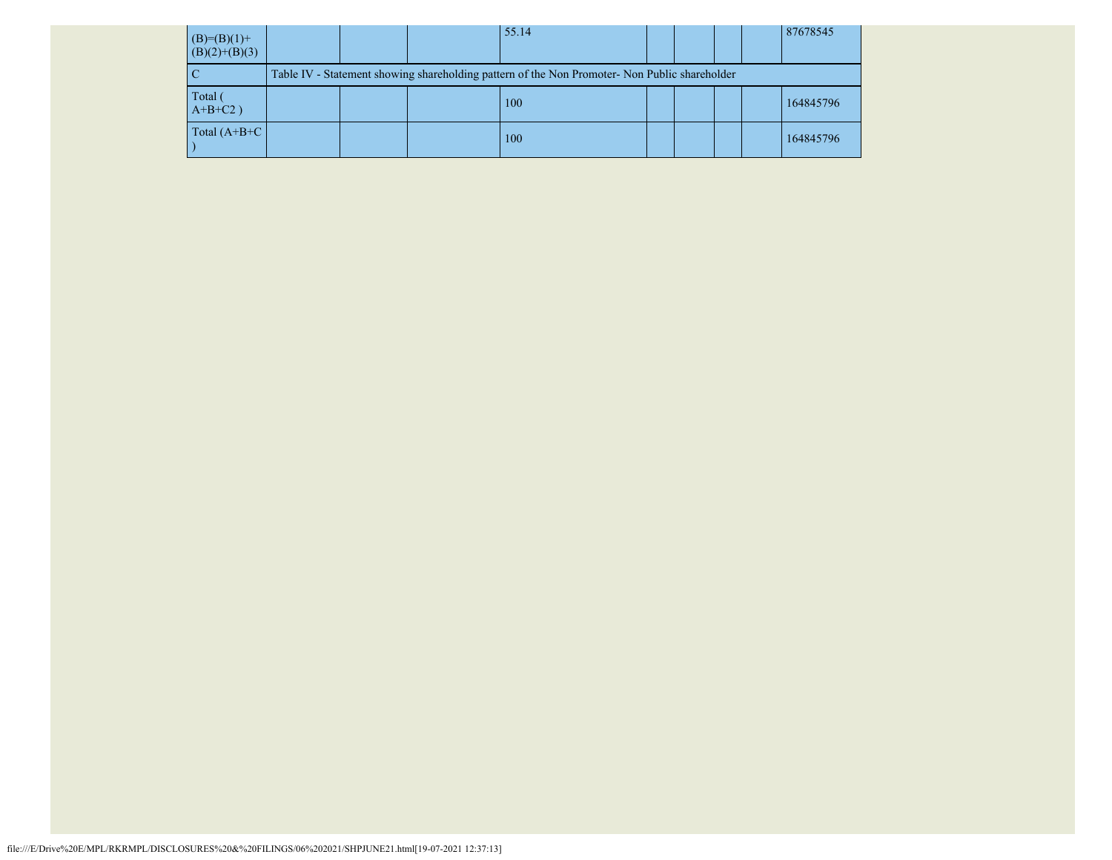| $(B)=(B)(1)+$<br>$(B)(2)+(B)(3)$ |  | 55.14                                                                                         |  |  | 87678545  |
|----------------------------------|--|-----------------------------------------------------------------------------------------------|--|--|-----------|
|                                  |  | Table IV - Statement showing shareholding pattern of the Non Promoter- Non Public shareholder |  |  |           |
| Total<br>$A+B+C2$ )              |  | 100                                                                                           |  |  | 164845796 |
| Total $(A+B+C)$                  |  | 100                                                                                           |  |  | 164845796 |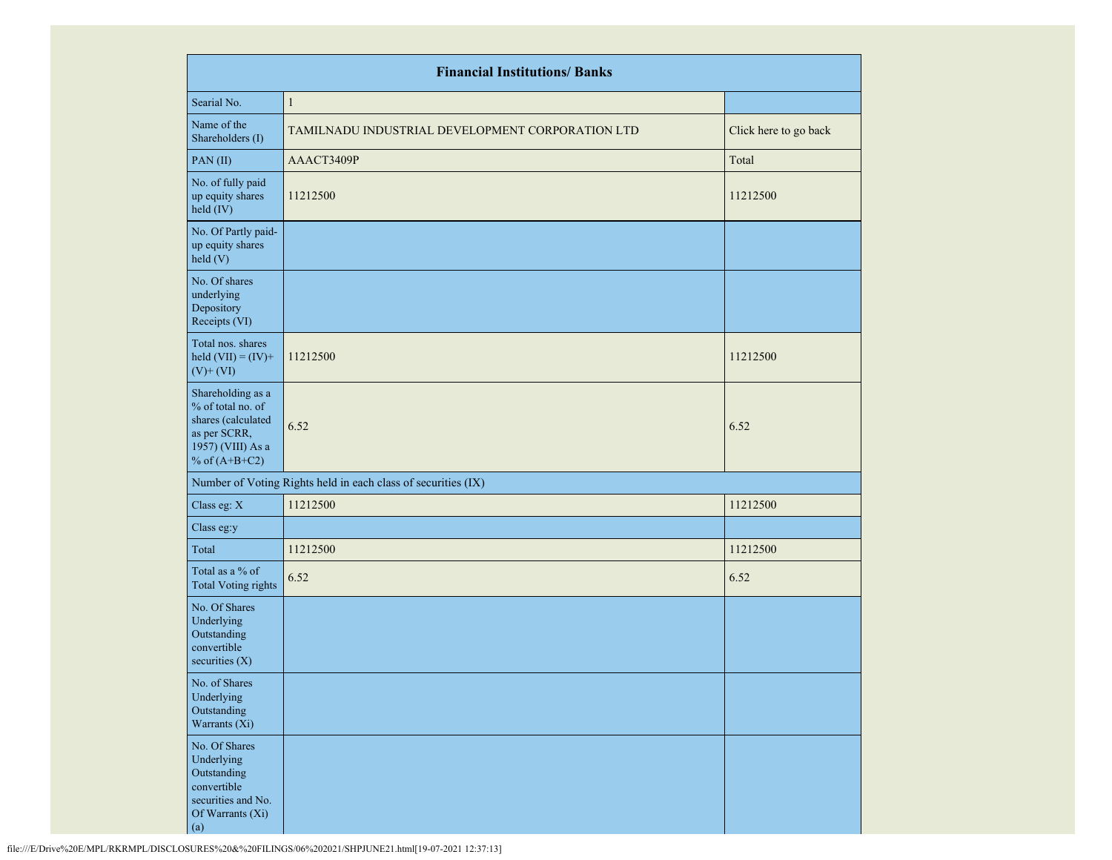|                                                                                                                      | <b>Financial Institutions/ Banks</b>                          |                       |
|----------------------------------------------------------------------------------------------------------------------|---------------------------------------------------------------|-----------------------|
| Searial No.                                                                                                          | $\mathbf{1}$                                                  |                       |
| Name of the<br>Shareholders (I)                                                                                      | TAMILNADU INDUSTRIAL DEVELOPMENT CORPORATION LTD              | Click here to go back |
| PAN(II)                                                                                                              | AAACT3409P                                                    | Total                 |
| No. of fully paid<br>up equity shares<br>held (IV)                                                                   | 11212500                                                      | 11212500              |
| No. Of Partly paid-<br>up equity shares<br>held(V)                                                                   |                                                               |                       |
| No. Of shares<br>underlying<br>Depository<br>Receipts (VI)                                                           |                                                               |                       |
| Total nos. shares<br>held $(VII) = (IV) +$<br>$(V)$ + $(VI)$                                                         | 11212500                                                      | 11212500              |
| Shareholding as a<br>% of total no. of<br>shares (calculated<br>as per SCRR,<br>1957) (VIII) As a<br>% of $(A+B+C2)$ | 6.52                                                          | 6.52                  |
|                                                                                                                      | Number of Voting Rights held in each class of securities (IX) |                       |
| Class eg: X                                                                                                          | 11212500                                                      | 11212500              |
| Class eg:y                                                                                                           |                                                               |                       |
| Total                                                                                                                | 11212500                                                      | 11212500              |
| Total as a % of<br><b>Total Voting rights</b>                                                                        | 6.52                                                          | 6.52                  |
| No. Of Shares<br>Underlying<br>Outstanding<br>convertible<br>securities $(X)$                                        |                                                               |                       |
| No. of Shares<br>Underlying<br>Outstanding<br>Warrants (Xi)                                                          |                                                               |                       |
| No. Of Shares<br>Underlying<br>Outstanding<br>convertible<br>securities and No.<br>Of Warrants (Xi)<br>(a)           |                                                               |                       |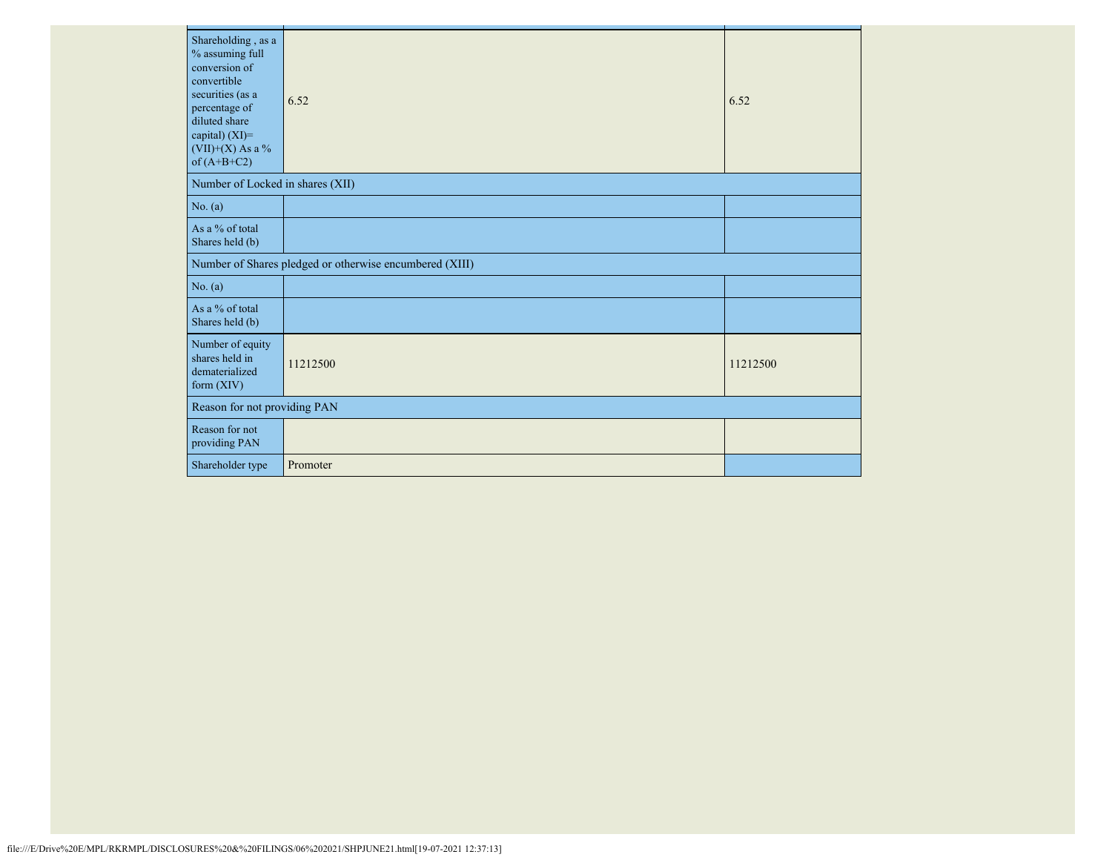| Shareholding, as a<br>% assuming full<br>conversion of<br>convertible<br>securities (as a<br>percentage of<br>diluted share<br>capital) (XI)=<br>$(VII)+(X)$ As a %<br>of $(A+B+C2)$ | 6.52                                                    | 6.52     |
|--------------------------------------------------------------------------------------------------------------------------------------------------------------------------------------|---------------------------------------------------------|----------|
| Number of Locked in shares (XII)                                                                                                                                                     |                                                         |          |
| No. (a)                                                                                                                                                                              |                                                         |          |
| As a % of total<br>Shares held (b)                                                                                                                                                   |                                                         |          |
|                                                                                                                                                                                      | Number of Shares pledged or otherwise encumbered (XIII) |          |
| No. (a)                                                                                                                                                                              |                                                         |          |
| As a % of total<br>Shares held (b)                                                                                                                                                   |                                                         |          |
| Number of equity<br>shares held in<br>dematerialized<br>form $(XIV)$                                                                                                                 | 11212500                                                | 11212500 |
| Reason for not providing PAN                                                                                                                                                         |                                                         |          |
| Reason for not<br>providing PAN                                                                                                                                                      |                                                         |          |
| Shareholder type                                                                                                                                                                     | Promoter                                                |          |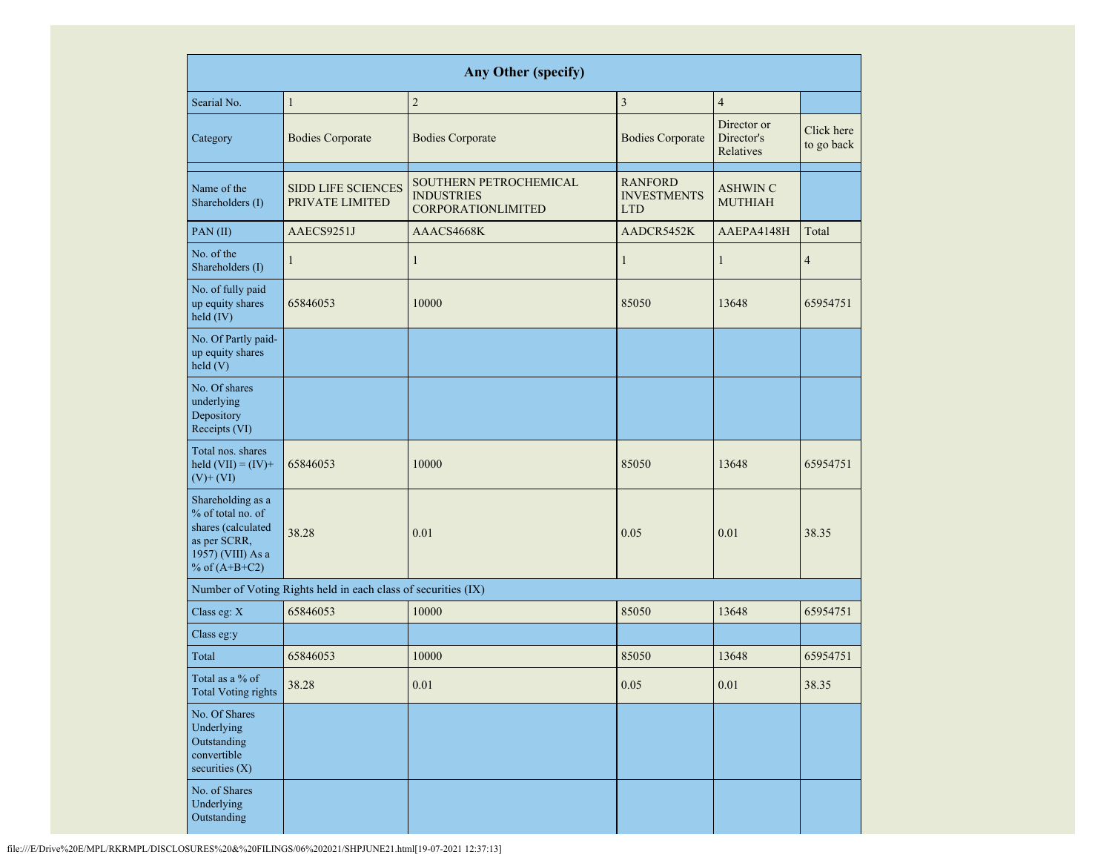|                                                                                                                      |                                                               | <b>Any Other (specify)</b>                                               |                                                    |                                        |                          |
|----------------------------------------------------------------------------------------------------------------------|---------------------------------------------------------------|--------------------------------------------------------------------------|----------------------------------------------------|----------------------------------------|--------------------------|
| Searial No.                                                                                                          | $\mathbf{1}$                                                  | $\sqrt{2}$                                                               | $\overline{3}$                                     | $\overline{4}$                         |                          |
| Category                                                                                                             | <b>Bodies Corporate</b>                                       | <b>Bodies Corporate</b>                                                  | <b>Bodies Corporate</b>                            | Director or<br>Director's<br>Relatives | Click here<br>to go back |
| Name of the<br>Shareholders (I)                                                                                      | <b>SIDD LIFE SCIENCES</b><br>PRIVATE LIMITED                  | SOUTHERN PETROCHEMICAL<br><b>INDUSTRIES</b><br><b>CORPORATIONLIMITED</b> | <b>RANFORD</b><br><b>INVESTMENTS</b><br><b>LTD</b> | <b>ASHWIN C</b><br><b>MUTHIAH</b>      |                          |
| PAN(II)                                                                                                              | AAECS9251J                                                    | AAACS4668K                                                               | AADCR5452K                                         | AAEPA4148H                             | Total                    |
| No. of the<br>Shareholders (I)                                                                                       | $\mathbf{1}$                                                  | $\mathbf{1}$                                                             | $\mathbf{1}$                                       | $\mathbf{1}$                           | $\overline{4}$           |
| No. of fully paid<br>up equity shares<br>held (IV)                                                                   | 65846053                                                      | 10000                                                                    | 85050                                              | 13648                                  | 65954751                 |
| No. Of Partly paid-<br>up equity shares<br>held(V)                                                                   |                                                               |                                                                          |                                                    |                                        |                          |
| No. Of shares<br>underlying<br>Depository<br>Receipts (VI)                                                           |                                                               |                                                                          |                                                    |                                        |                          |
| Total nos. shares<br>held $(VII) = (IV) +$<br>$(V)$ + $(VI)$                                                         | 65846053                                                      | 10000                                                                    | 85050                                              | 13648                                  | 65954751                 |
| Shareholding as a<br>% of total no. of<br>shares (calculated<br>as per SCRR,<br>1957) (VIII) As a<br>% of $(A+B+C2)$ | 38.28                                                         | 0.01                                                                     | 0.05                                               | 0.01                                   | 38.35                    |
|                                                                                                                      | Number of Voting Rights held in each class of securities (IX) |                                                                          |                                                    |                                        |                          |
| Class eg: X                                                                                                          | 65846053                                                      | 10000                                                                    | 85050                                              | 13648                                  | 65954751                 |
| Class eg:y                                                                                                           |                                                               |                                                                          |                                                    |                                        |                          |
| Total                                                                                                                | 65846053                                                      | 10000                                                                    | 85050                                              | 13648                                  | 65954751                 |
| Total as a % of<br><b>Total Voting rights</b>                                                                        | 38.28                                                         | 0.01                                                                     | 0.05                                               | 0.01                                   | 38.35                    |
| No. Of Shares<br>Underlying<br>Outstanding<br>convertible<br>securities (X)                                          |                                                               |                                                                          |                                                    |                                        |                          |
| No. of Shares<br>Underlying<br>Outstanding                                                                           |                                                               |                                                                          |                                                    |                                        |                          |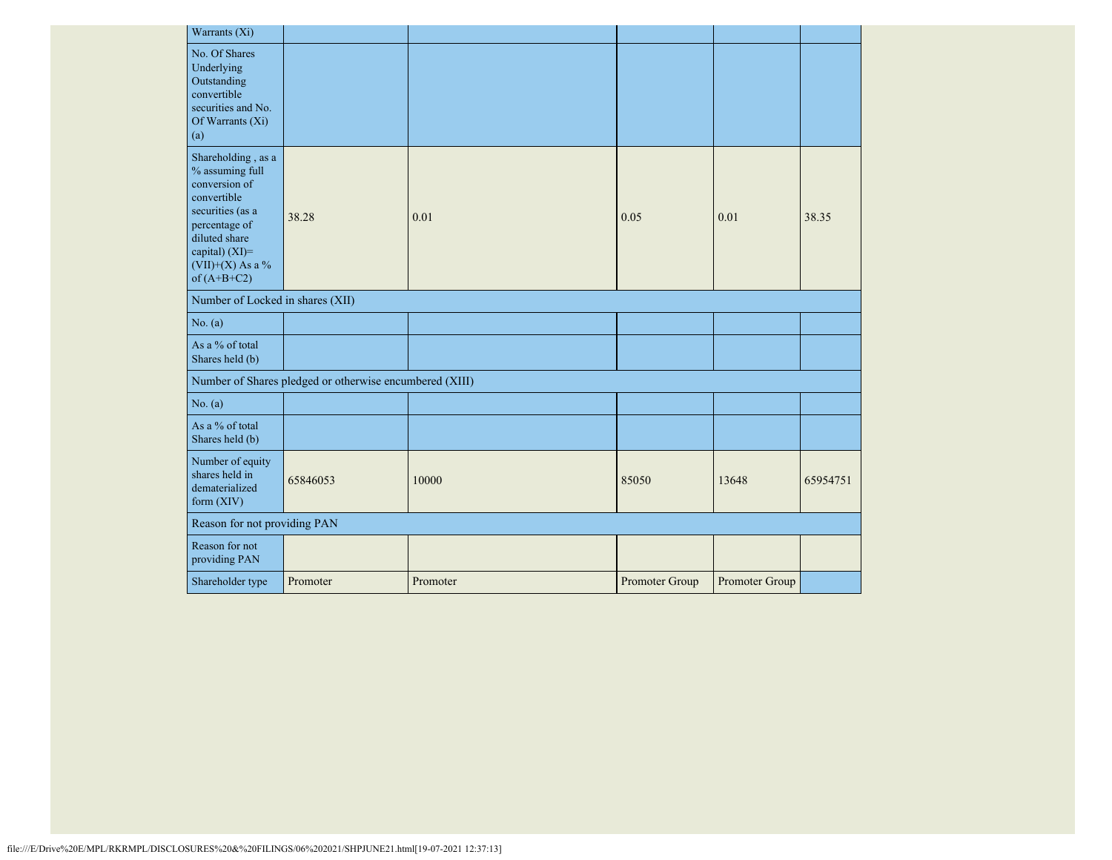| Warrants (Xi)                                                                                                                                                                      |                                                         |          |                |                |          |
|------------------------------------------------------------------------------------------------------------------------------------------------------------------------------------|---------------------------------------------------------|----------|----------------|----------------|----------|
| No. Of Shares<br>Underlying<br>Outstanding<br>convertible<br>securities and No.<br>Of Warrants $(X_i)$<br>(a)                                                                      |                                                         |          |                |                |          |
| Shareholding, as a<br>% assuming full<br>conversion of<br>convertible<br>securities (as a<br>percentage of<br>diluted share<br>capital) (XI)=<br>(VII)+(X) As a %<br>of $(A+B+C2)$ | 38.28                                                   | 0.01     | 0.05           | 0.01           | 38.35    |
| Number of Locked in shares (XII)                                                                                                                                                   |                                                         |          |                |                |          |
| No. (a)                                                                                                                                                                            |                                                         |          |                |                |          |
| As a % of total<br>Shares held (b)                                                                                                                                                 |                                                         |          |                |                |          |
|                                                                                                                                                                                    | Number of Shares pledged or otherwise encumbered (XIII) |          |                |                |          |
| No. (a)                                                                                                                                                                            |                                                         |          |                |                |          |
| As a % of total<br>Shares held (b)                                                                                                                                                 |                                                         |          |                |                |          |
| Number of equity<br>shares held in<br>dematerialized<br>form $(XIV)$                                                                                                               | 65846053                                                | 10000    | 85050          | 13648          | 65954751 |
| Reason for not providing PAN                                                                                                                                                       |                                                         |          |                |                |          |
| Reason for not<br>providing PAN                                                                                                                                                    |                                                         |          |                |                |          |
| Shareholder type                                                                                                                                                                   | Promoter                                                | Promoter | Promoter Group | Promoter Group |          |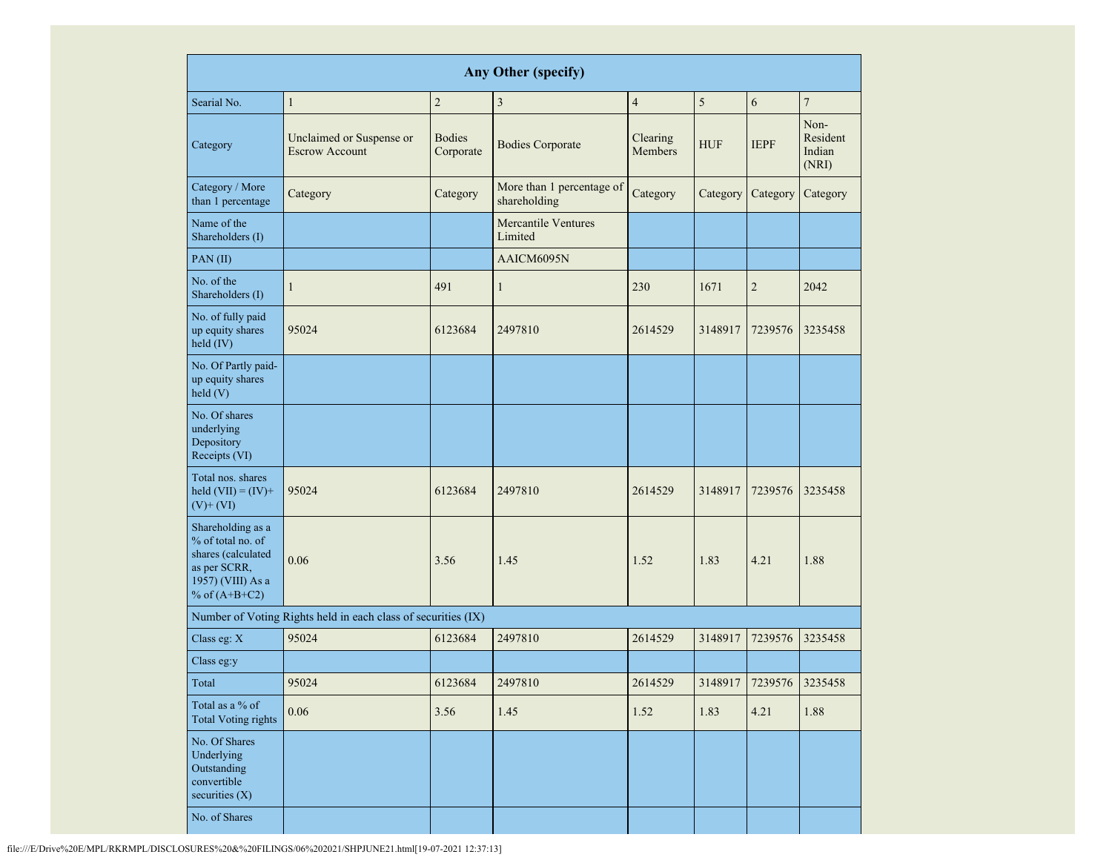| <b>Any Other (specify)</b>                                                                                           |                                                               |                            |                                           |                            |            |                         |                                     |
|----------------------------------------------------------------------------------------------------------------------|---------------------------------------------------------------|----------------------------|-------------------------------------------|----------------------------|------------|-------------------------|-------------------------------------|
| Searial No.                                                                                                          | $\mathbf{1}$                                                  | $\sqrt{2}$                 | $\overline{\mathbf{3}}$                   | $\overline{4}$             | 5          | 6                       | $\overline{7}$                      |
| Category                                                                                                             | Unclaimed or Suspense or<br><b>Escrow Account</b>             | <b>Bodies</b><br>Corporate | <b>Bodies Corporate</b>                   | Clearing<br><b>Members</b> | <b>HUF</b> | <b>IEPF</b>             | Non-<br>Resident<br>Indian<br>(NRI) |
| Category / More<br>than 1 percentage                                                                                 | Category                                                      | Category                   | More than 1 percentage of<br>shareholding | Category                   | Category   | Category                | Category                            |
| Name of the<br>Shareholders (I)                                                                                      |                                                               |                            | <b>Mercantile Ventures</b><br>Limited     |                            |            |                         |                                     |
| PAN(II)                                                                                                              |                                                               |                            | AAICM6095N                                |                            |            |                         |                                     |
| No. of the<br>Shareholders (I)                                                                                       | $\mathbf{1}$                                                  | 491                        | $\mathbf{1}$                              | 230                        | 1671       | $\overline{2}$          | 2042                                |
| No. of fully paid<br>up equity shares<br>held (IV)                                                                   | 95024                                                         | 6123684                    | 2497810                                   | 2614529                    | 3148917    | 7239576                 | 3235458                             |
| No. Of Partly paid-<br>up equity shares<br>held(V)                                                                   |                                                               |                            |                                           |                            |            |                         |                                     |
| No. Of shares<br>underlying<br>Depository<br>Receipts (VI)                                                           |                                                               |                            |                                           |                            |            |                         |                                     |
| Total nos. shares<br>held $(VII) = (IV) +$<br>$(V)$ + $(VI)$                                                         | 95024                                                         | 6123684                    | 2497810                                   | 2614529                    | 3148917    | 7239576                 | 3235458                             |
| Shareholding as a<br>% of total no. of<br>shares (calculated<br>as per SCRR,<br>1957) (VIII) As a<br>% of $(A+B+C2)$ | 0.06                                                          | 3.56                       | 1.45                                      | 1.52                       | 1.83       | 4.21                    | 1.88                                |
|                                                                                                                      | Number of Voting Rights held in each class of securities (IX) |                            |                                           |                            |            |                         |                                     |
| Class eg: X                                                                                                          | 95024                                                         | 6123684                    | 2497810                                   | 2614529                    | 3148917    | 7239576                 | 3235458                             |
| Class eg:y                                                                                                           |                                                               |                            |                                           |                            |            |                         |                                     |
| Total                                                                                                                | 95024                                                         | 6123684                    | 2497810                                   | 2614529                    |            | 3148917 7239576 3235458 |                                     |
| Total as a % of<br><b>Total Voting rights</b>                                                                        | 0.06                                                          | 3.56                       | 1.45                                      | 1.52                       | 1.83       | 4.21                    | 1.88                                |
| No. Of Shares<br>Underlying<br>Outstanding<br>convertible<br>securities (X)                                          |                                                               |                            |                                           |                            |            |                         |                                     |
| No. of Shares                                                                                                        |                                                               |                            |                                           |                            |            |                         |                                     |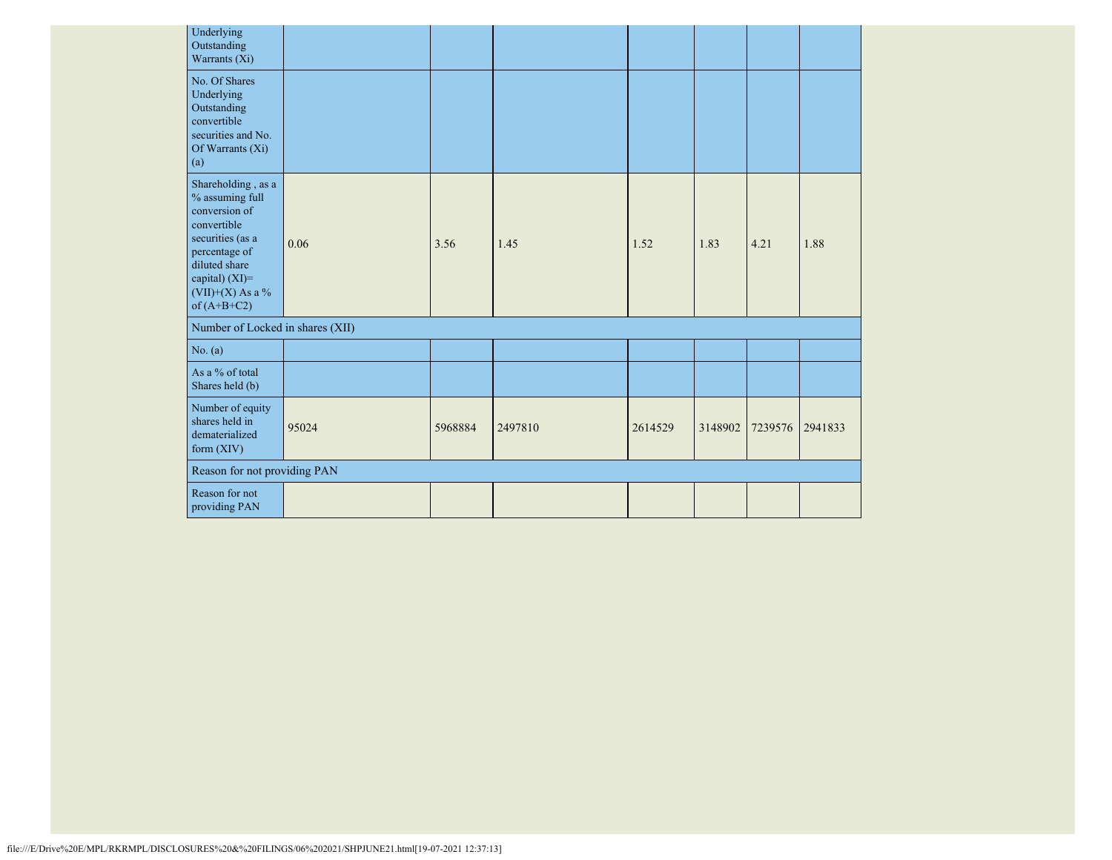| Underlying<br>Outstanding<br>Warrants (Xi)                                                                                                                                         |       |         |         |         |         |         |         |
|------------------------------------------------------------------------------------------------------------------------------------------------------------------------------------|-------|---------|---------|---------|---------|---------|---------|
| No. Of Shares<br>Underlying<br>Outstanding<br>convertible<br>securities and No.<br>Of Warrants (Xi)<br>(a)                                                                         |       |         |         |         |         |         |         |
| Shareholding, as a<br>% assuming full<br>conversion of<br>convertible<br>securities (as a<br>percentage of<br>diluted share<br>capital) (XI)=<br>(VII)+(X) As a %<br>of $(A+B+C2)$ | 0.06  | 3.56    | 1.45    | 1.52    | 1.83    | 4.21    | 1.88    |
| Number of Locked in shares (XII)                                                                                                                                                   |       |         |         |         |         |         |         |
| No. (a)                                                                                                                                                                            |       |         |         |         |         |         |         |
| As a % of total<br>Shares held (b)                                                                                                                                                 |       |         |         |         |         |         |         |
| Number of equity<br>shares held in<br>dematerialized<br>form $(XIV)$                                                                                                               | 95024 | 5968884 | 2497810 | 2614529 | 3148902 | 7239576 | 2941833 |
| Reason for not providing PAN                                                                                                                                                       |       |         |         |         |         |         |         |
| Reason for not<br>providing PAN                                                                                                                                                    |       |         |         |         |         |         |         |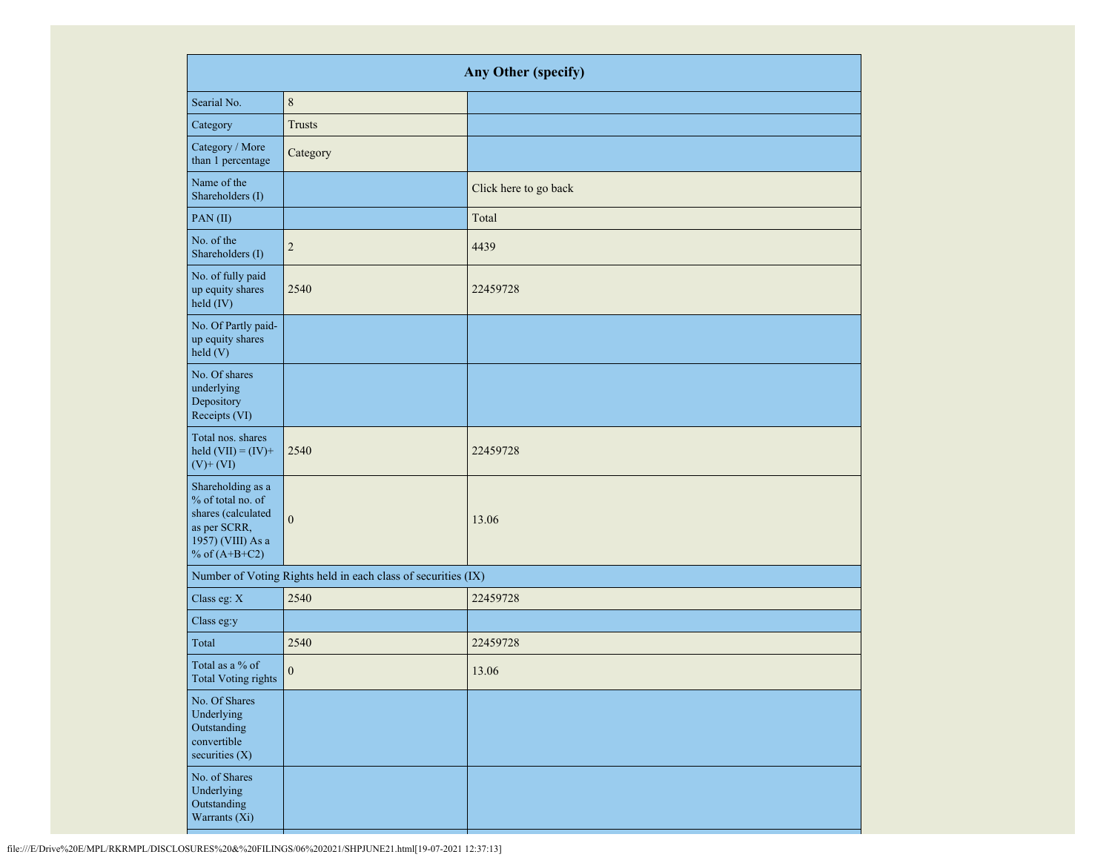| <b>Any Other (specify)</b>                                                                                           |                                                               |                       |  |  |  |
|----------------------------------------------------------------------------------------------------------------------|---------------------------------------------------------------|-----------------------|--|--|--|
| Searial No.                                                                                                          | $8\,$                                                         |                       |  |  |  |
| Category                                                                                                             | <b>Trusts</b>                                                 |                       |  |  |  |
| Category / More<br>than 1 percentage                                                                                 | Category                                                      |                       |  |  |  |
| Name of the<br>Shareholders (I)                                                                                      |                                                               | Click here to go back |  |  |  |
| PAN(II)                                                                                                              |                                                               | Total                 |  |  |  |
| No. of the<br>Shareholders (I)                                                                                       | $\sqrt{2}$                                                    | 4439                  |  |  |  |
| No. of fully paid<br>up equity shares<br>held (IV)                                                                   | 2540                                                          | 22459728              |  |  |  |
| No. Of Partly paid-<br>up equity shares<br>held (V)                                                                  |                                                               |                       |  |  |  |
| No. Of shares<br>underlying<br>Depository<br>Receipts (VI)                                                           |                                                               |                       |  |  |  |
| Total nos. shares<br>held $(VII) = (IV) +$<br>$(V)$ + $(VI)$                                                         | 2540                                                          | 22459728              |  |  |  |
| Shareholding as a<br>% of total no. of<br>shares (calculated<br>as per SCRR,<br>1957) (VIII) As a<br>% of $(A+B+C2)$ | $\boldsymbol{0}$                                              | 13.06                 |  |  |  |
|                                                                                                                      | Number of Voting Rights held in each class of securities (IX) |                       |  |  |  |
| Class eg: X                                                                                                          | 2540                                                          | 22459728              |  |  |  |
| Class eg:y                                                                                                           |                                                               |                       |  |  |  |
| Total                                                                                                                | 2540                                                          | 22459728              |  |  |  |
| Total as a % of<br><b>Total Voting rights</b>                                                                        | $\boldsymbol{0}$                                              | 13.06                 |  |  |  |
| No. Of Shares<br>Underlying<br>Outstanding<br>convertible<br>securities $(X)$                                        |                                                               |                       |  |  |  |
| No. of Shares<br>Underlying<br>Outstanding<br>Warrants (Xi)                                                          |                                                               |                       |  |  |  |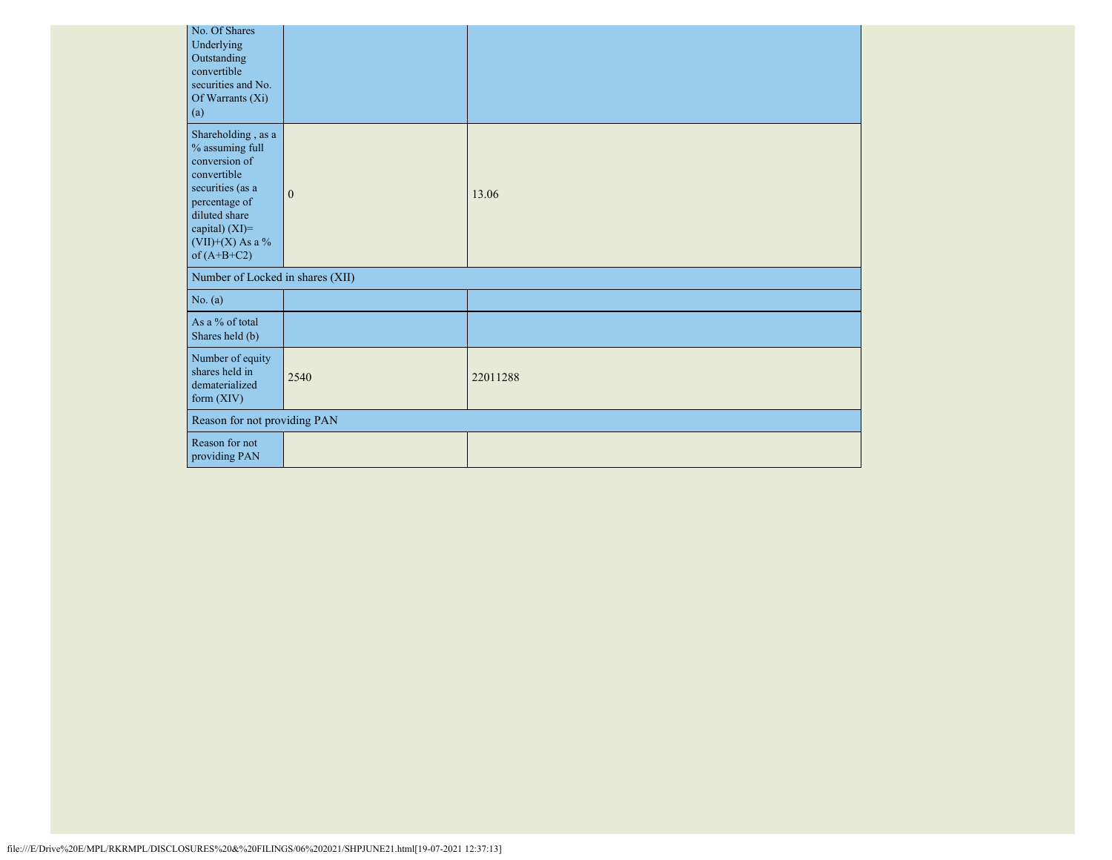|                                  | No. Of Shares<br>Underlying<br>Outstanding<br>convertible<br>securities and No.<br>Of Warrants (Xi)<br>(a)                                                                           |                              |          |  |  |
|----------------------------------|--------------------------------------------------------------------------------------------------------------------------------------------------------------------------------------|------------------------------|----------|--|--|
|                                  | Shareholding, as a<br>% assuming full<br>conversion of<br>convertible<br>securities (as a<br>percentage of<br>diluted share<br>capital) (XI)=<br>$(VII)+(X)$ As a %<br>of $(A+B+C2)$ | $\mathbf{0}$                 | 13.06    |  |  |
| Number of Locked in shares (XII) |                                                                                                                                                                                      |                              |          |  |  |
|                                  | No. (a)                                                                                                                                                                              |                              |          |  |  |
|                                  | As a % of total<br>Shares held (b)                                                                                                                                                   |                              |          |  |  |
|                                  | Number of equity<br>shares held in<br>dematerialized<br>form (XIV)                                                                                                                   | 2540                         | 22011288 |  |  |
|                                  |                                                                                                                                                                                      | Reason for not providing PAN |          |  |  |
|                                  | Reason for not<br>providing PAN                                                                                                                                                      |                              |          |  |  |